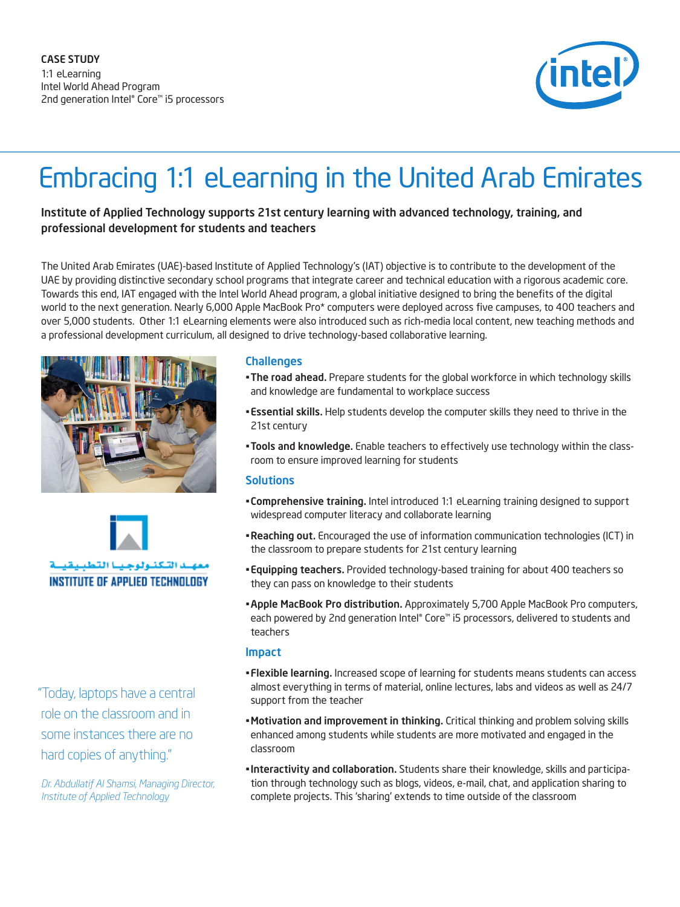

# Embracing 1:1 eLearning in the United Arab Emirates

# Institute of Applied Technology supports 21st century learning with advanced technology, training, and professional development for students and teachers

The United Arab Emirates (UAE)-based Institute of Applied Technology's (IAT) objective is to contribute to the development of the UAE by providing distinctive secondary school programs that integrate career and technical education with a rigorous academic core. Towards this end, IAT engaged with the Intel World Ahead program, a global initiative designed to bring the benefits of the digital world to the next generation. Nearly 6,000 Apple MacBook Pro\* computers were deployed across five campuses, to 400 teachers and over 5,000 students. Other 1:1 eLearning elements were also introduced such as rich-media local content, new teaching methods and a professional development curriculum, all designed to drive technology-based collaborative learning.





 "Today, laptops have a central role on the classroom and in some instances there are no hard copies of anything."

*Dr. Abdullatif Al Shamsi, Managing Director, Institute of Applied Technology*

#### **Challenges**

- . The road ahead. Prepare students for the global workforce in which technology skills and knowledge are fundamental to workplace success
- **Essential skills.** Help students develop the computer skills they need to thrive in the 21st century
- Tools and knowledge. Enable teachers to effectively use technology within the classroom to ensure improved learning for students

#### **Solutions**

- **EXPOHENSUM COMPTERENT INTEGRATION INTEGRATION INTEGRATION INTEGRATION INTEGRATION INTEGRATION INTEGRATION INTEGRATION INTEGRATION INTEGRATION INTEGRATION INTEGRATION INTEGRATION INTEGRATION INTEGRATION INTEGRATION INTEGRA** widespread computer literacy and collaborate learning
- Reaching out. Encouraged the use of information communication technologies (ICT) in the classroom to prepare students for 21st century learning
- **Equipping teachers.** Provided technology-based training for about 400 teachers so they can pass on knowledge to their students
- **\* Apple MacBook Pro distribution.** Approximately 5,700 Apple MacBook Pro computers, each powered by 2nd generation Intel® Core™ i5 processors, delivered to students and teachers

#### Impact

- Flexible learning. Increased scope of learning for students means students can access almost everything in terms of material, online lectures, labs and videos as well as 24/7 support from the teacher
- Motivation and improvement in thinking. Critical thinking and problem solving skills enhanced among students while students are more motivated and engaged in the classroom
- . Interactivity and collaboration. Students share their knowledge, skills and participation through technology such as blogs, videos, e-mail, chat, and application sharing to complete projects. This 'sharing' extends to time outside of the classroom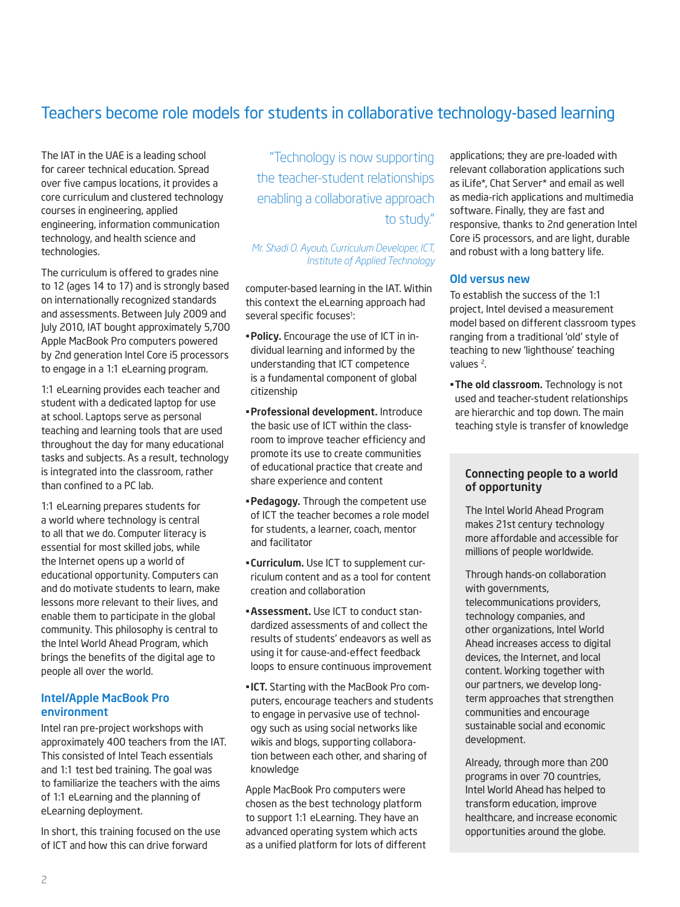# Teachers become role models for students in collaborative technology-based learning

The IAT in the UAE is a leading school for career technical education. Spread over five campus locations, it provides a core curriculum and clustered technology courses in engineering, applied engineering, information communication technology, and health science and technologies.

The curriculum is offered to grades nine to 12 (ages 14 to 17) and is strongly based on internationally recognized standards and assessments. Between July 2009 and July 2010, IAT bought approximately 5,700 Apple MacBook Pro computers powered by 2nd generation Intel Core i5 processors to engage in a 1:1 eLearning program.

1:1 eLearning provides each teacher and student with a dedicated laptop for use at school. Laptops serve as personal teaching and learning tools that are used throughout the day for many educational tasks and subjects. As a result, technology is integrated into the classroom, rather than confined to a PC lab.

1:1 eLearning prepares students for a world where technology is central to all that we do. Computer literacy is essential for most skilled jobs, while the Internet opens up a world of educational opportunity. Computers can and do motivate students to learn, make lessons more relevant to their lives, and enable them to participate in the global community. This philosophy is central to the Intel World Ahead Program, which brings the benefits of the digital age to people all over the world.

#### Intel/Apple MacBook Pro environment

Intel ran pre-project workshops with approximately 400 teachers from the IAT. This consisted of Intel Teach essentials and 1:1 test bed training. The goal was to familiarize the teachers with the aims of 1:1 eLearning and the planning of eLearning deployment.

In short, this training focused on the use of ICT and how this can drive forward

"Technology is now supporting the teacher-student relationships enabling a collaborative approach to study."

*Mr. Shadi O. Ayoub, Curriculum Developer, ICT, Institute of Applied Technology* 

computer-based learning in the IAT. Within this context the eLearning approach had several specific focuses<sup>1</sup>: :

- **Policy.** Encourage the use of ICT in individual learning and informed by the understanding that ICT competence is a fundamental component of global citizenship
- Professional development. Introduce the basic use of ICT within the classroom to improve teacher efficiency and promote its use to create communities of educational practice that create and share experience and content
- Pedagogy. Through the competent use of ICT the teacher becomes a role model for students, a learner, coach, mentor and facilitator
- **. Curriculum.** Use ICT to supplement curriculum content and as a tool for content creation and collaboration
- **Assessment.** Use ICT to conduct standardized assessments of and collect the results of students' endeavors as well as using it for cause-and-effect feedback loops to ensure continuous improvement
- . ICT. Starting with the MacBook Pro computers, encourage teachers and students to engage in pervasive use of technology such as using social networks like wikis and blogs, supporting collaboration between each other, and sharing of knowledge

Apple MacBook Pro computers were chosen as the best technology platform to support 1:1 eLearning. They have an advanced operating system which acts as a unified platform for lots of different applications; they are pre-loaded with relevant collaboration applications such as iLife\*, Chat Server\* and email as well as media-rich applications and multimedia software. Finally, they are fast and responsive, thanks to 2nd generation Intel Core i5 processors, and are light, durable and robust with a long battery life.

#### Old versus new

To establish the success of the 1:1 project, Intel devised a measurement model based on different classroom types ranging from a traditional 'old' style of teaching to new 'lighthouse' teaching values 2.

The old classroom. Technology is not used and teacher-student relationships are hierarchic and top down. The main teaching style is transfer of knowledge

#### Connecting people to a world of opportunity

The Intel World Ahead Program makes 21st century technology more affordable and accessible for millions of people worldwide.

Through hands-on collaboration with governments, telecommunications providers, technology companies, and other organizations, Intel World Ahead increases access to digital devices, the Internet, and local content. Working together with our partners, we develop longterm approaches that strengthen communities and encourage sustainable social and economic development.

Already, through more than 200 programs in over 70 countries, Intel World Ahead has helped to transform education, improve healthcare, and increase economic opportunities around the globe.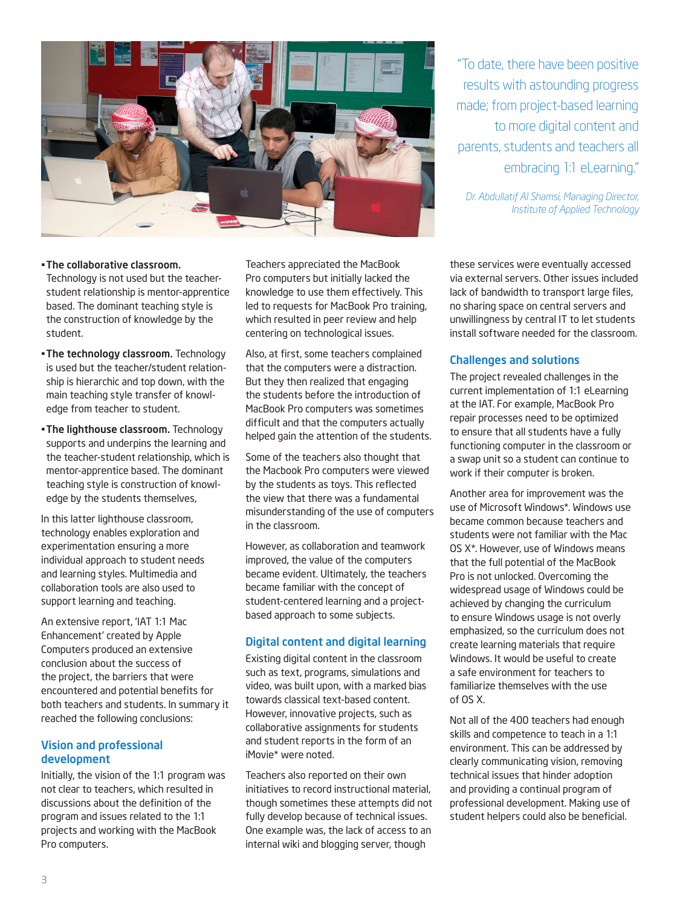

. The collaborative classroom. Technology is not used but the teacherstudent relationship is mentor-apprentice based. The dominant teaching style is the construction of knowledge by the student.

- The technology classroom. Technology is used but the teacher/student relationship is hierarchic and top down, with the main teaching style transfer of knowledge from teacher to student.
- The lighthouse classroom. Technology supports and underpins the learning and the teacher-student relationship, which is mentor-apprentice based. The dominant teaching style is construction of knowledge by the students themselves,

In this latter lighthouse classroom, technology enables exploration and experimentation ensuring a more individual approach to student needs and learning styles. Multimedia and collaboration tools are also used to support learning and teaching.

An extensive report, 'IAT 1:1 Mac Enhancement' created by Apple Computers produced an extensive conclusion about the success of the project, the barriers that were encountered and potential benefits for both teachers and students. In summary it reached the following conclusions:

#### Vision and professional development

Initially, the vision of the 1:1 program was not clear to teachers, which resulted in discussions about the definition of the program and issues related to the 1:1 projects and working with the MacBook Pro computers.

Teachers appreciated the MacBook Pro computers but initially lacked the knowledge to use them effectively. This led to requests for MacBook Pro training, which resulted in peer review and help centering on technological issues.

Also, at first, some teachers complained that the computers were a distraction. But they then realized that engaging the students before the introduction of MacBook Pro computers was sometimes difficult and that the computers actually helped gain the attention of the students.

Some of the teachers also thought that the Macbook Pro computers were viewed by the students as toys. This reflected the view that there was a fundamental misunderstanding of the use of computers in the classroom.

However, as collaboration and teamwork improved, the value of the computers became evident. Ultimately, the teachers became familiar with the concept of student-centered learning and a projectbased approach to some subjects.

### Digital content and digital learning

Existing digital content in the classroom such as text, programs, simulations and video, was built upon, with a marked bias towards classical text-based content. However, innovative projects, such as collaborative assignments for students and student reports in the form of an iMovie\* were noted.

Teachers also reported on their own initiatives to record instructional material, though sometimes these attempts did not fully develop because of technical issues. One example was, the lack of access to an internal wiki and blogging server, though

"To date, there have been positive results with astounding progress made; from project-based learning to more digital content and parents, students and teachers all embracing 1:1 eLearning."

*Dr. Abdullatif Al Shamsi, Managing Director, Institute of Applied Technology*

these services were eventually accessed via external servers. Other issues included lack of bandwidth to transport large files, no sharing space on central servers and unwillingness by central IT to let students install software needed for the classroom.

#### Challenges and solutions

The project revealed challenges in the current implementation of 1:1 eLearning at the IAT. For example, MacBook Pro repair processes need to be optimized to ensure that all students have a fully functioning computer in the classroom or a swap unit so a student can continue to work if their computer is broken.

Another area for improvement was the use of Microsoft Windows\*. Windows use became common because teachers and students were not familiar with the Mac OS X\*. However, use of Windows means that the full potential of the MacBook Pro is not unlocked. Overcoming the widespread usage of Windows could be achieved by changing the curriculum to ensure Windows usage is not overly emphasized, so the curriculum does not create learning materials that require Windows. It would be useful to create a safe environment for teachers to familiarize themselves with the use of OS X.

Not all of the 400 teachers had enough skills and competence to teach in a 1:1 environment. This can be addressed by clearly communicating vision, removing technical issues that hinder adoption and providing a continual program of professional development. Making use of student helpers could also be beneficial.